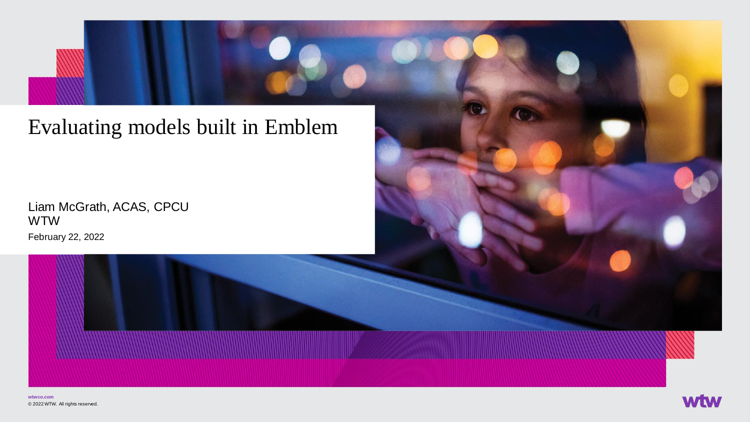# Evaluating models built in Emblem

February 22, 2022 Liam McGrath, ACAS, CPCU WTW



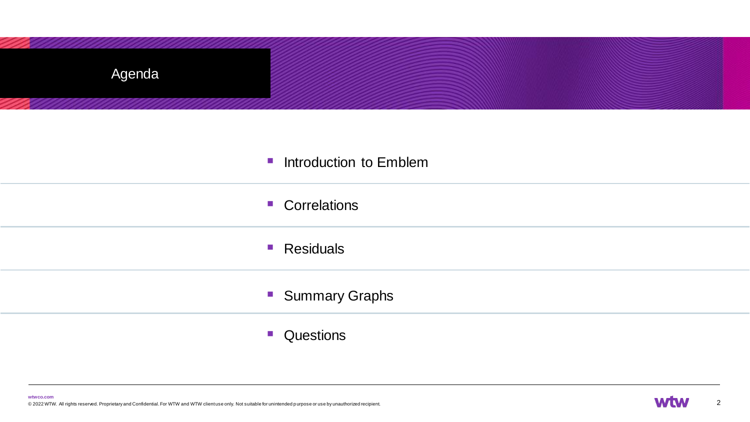| Agenda |                                          |
|--------|------------------------------------------|
|        |                                          |
|        | <b>Introduction to Emblem</b>            |
|        | • Correlations                           |
|        | ■ Residuals                              |
|        | • Summary Graphs                         |
|        | Questions<br>$\mathcal{L}_{\mathcal{A}}$ |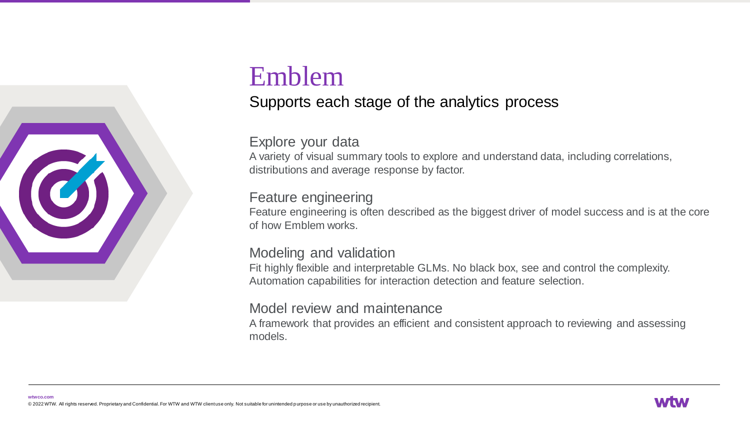

# Emblem

## Supports each stage of the analytics process

### Explore your data

A variety of visual summary tools to explore and understand data, including correlations, distributions and average response by factor.

#### Feature engineering

Feature engineering is often described as the biggest driver of model success and is at the core of how Emblem works.

#### Modeling and validation

Fit highly flexible and interpretable GLMs. No black box, see and control the complexity. Automation capabilities for interaction detection and feature selection.

#### Model review and maintenance

A framework that provides an efficient and consistent approach to reviewing and assessing models.

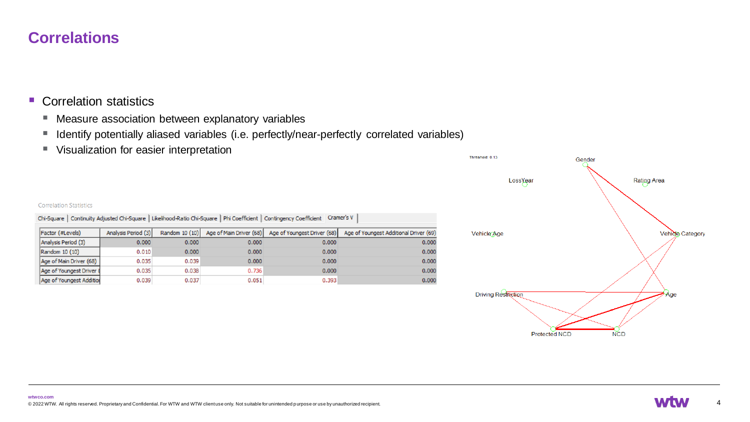#### **Correlations**

#### ■ Correlation statistics

- Measure association between explanatory variables
- Identify potentially aliased variables (i.e. perfectly/near-perfectly correlated variables)
- Visualization for easier interpretation





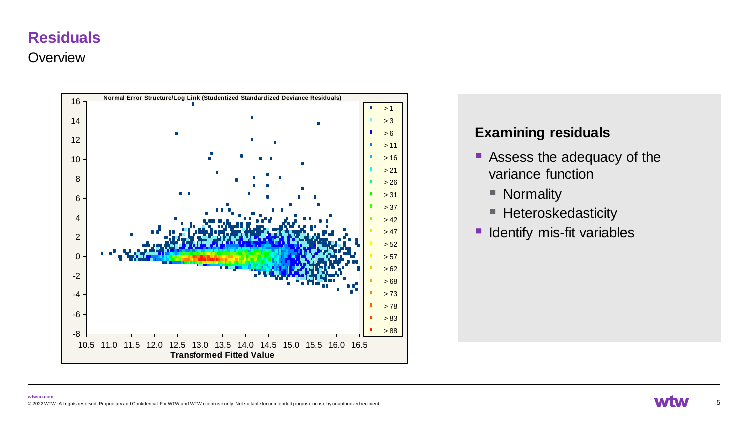#### **Overview**



#### **Examining residuals**

- Assess the adequacy of the variance function
	- Normality
	- Heteroskedasticity
- **E** Identify mis-fit variables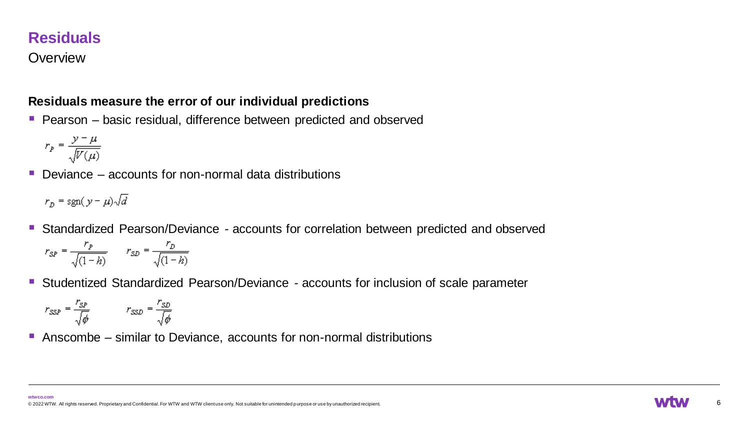#### **Overview**

#### **Residuals measure the error of our individual predictions**

■ Pearson – basic residual, difference between predicted and observed

$$
r_p = \frac{y - \mu}{\sqrt{V(\mu)}}
$$

 $\blacksquare$  Deviance – accounts for non-normal data distributions

$$
r_D = \text{sgn}(y - \mu)\sqrt{d}
$$

■ Standardized Pearson/Deviance - accounts for correlation between predicted and observed

$$
r_{SP} = \frac{r_p}{\sqrt{(1-h)}} \qquad r_{SD} = \frac{r_D}{\sqrt{(1-h)}}
$$

■ Studentized Standardized Pearson/Deviance - accounts for inclusion of scale parameter

$$
r_{SSP} = \frac{r_{SP}}{\sqrt{\phi}} \qquad r_{SSD} = \frac{r_{SD}}{\sqrt{\phi}}
$$

■ Anscombe  $-$  similar to Deviance, accounts for non-normal distributions

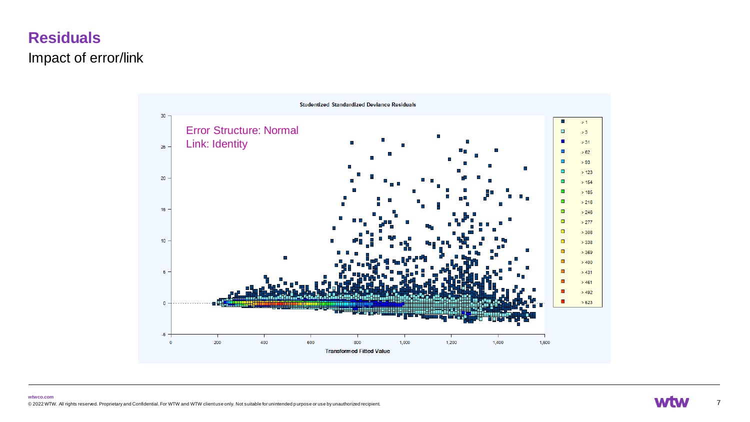# **Residuals** Impact of error/link



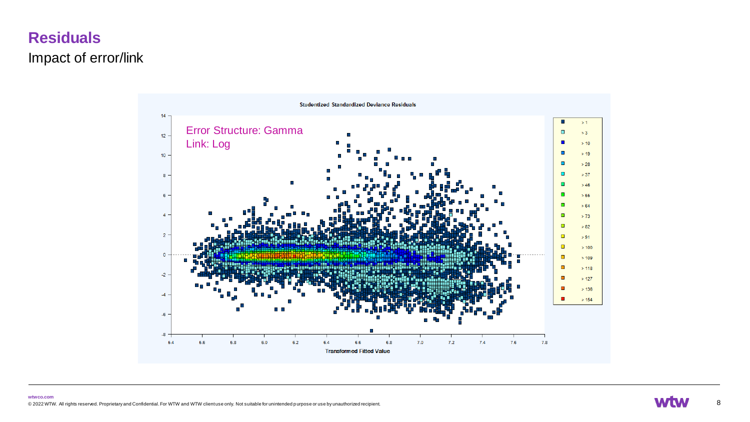# **Residuals** Impact of error/link

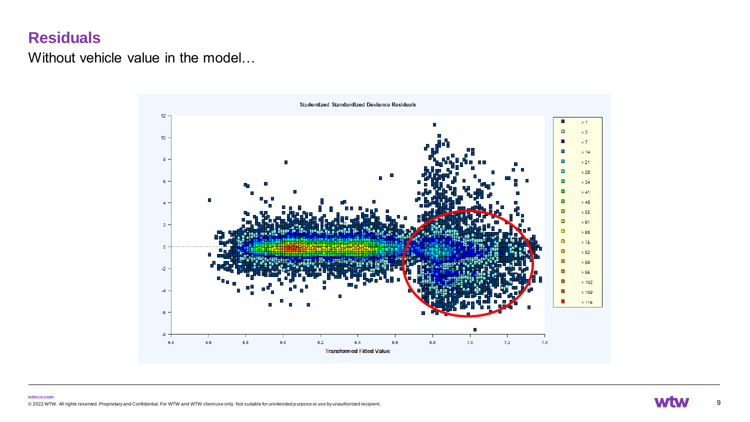Without vehicle value in the model…



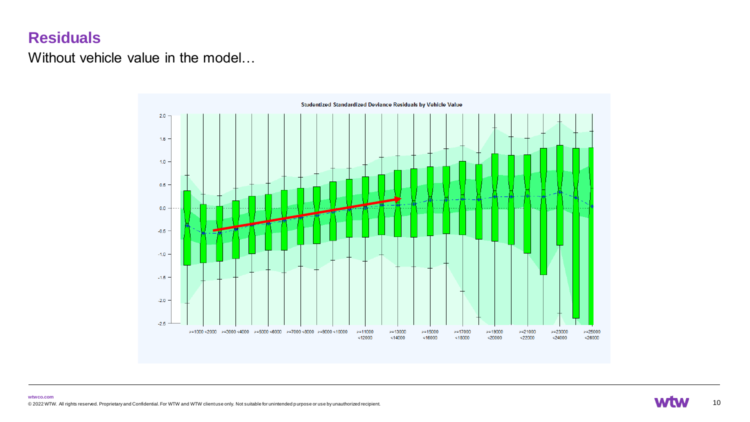Without vehicle value in the model…



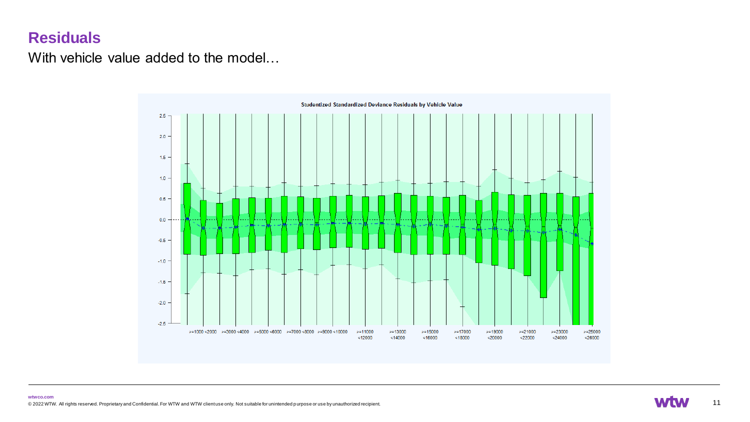With vehicle value added to the model…



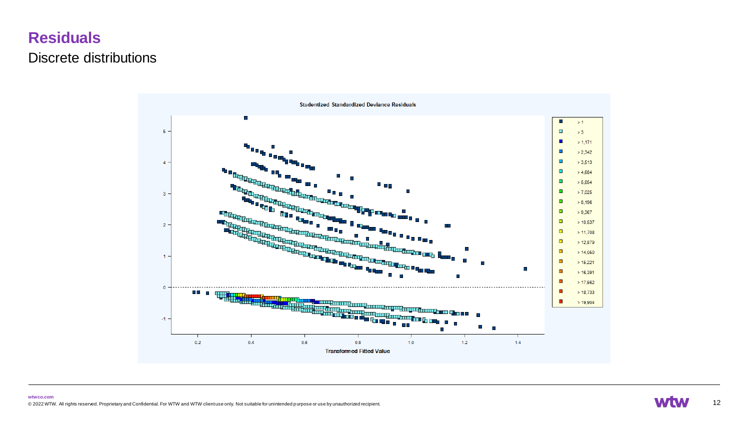## **Residuals** Discrete distributions

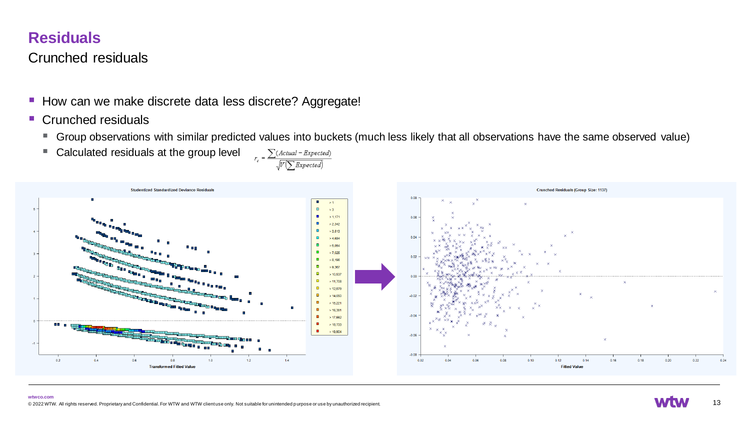### Crunched residuals

- How can we make discrete data less discrete? Aggregate!
- Crunched residuals
	- Group observations with similar predicted values into buckets (much less likely that all observations have the same observed value)<br>■ Calculated residuals at the group level  $\sum_{n=1}^{\infty} \frac{\sum (Actual Expected)}{1 R \cdot R \cdot d}$
	- Calculated residuals at the group level  $\sqrt{V(\sum{Expected})}$



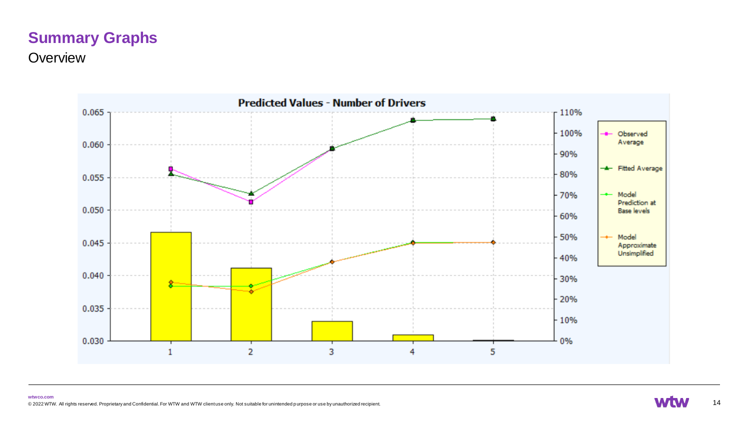# **Summary Graphs**

**Overview** 



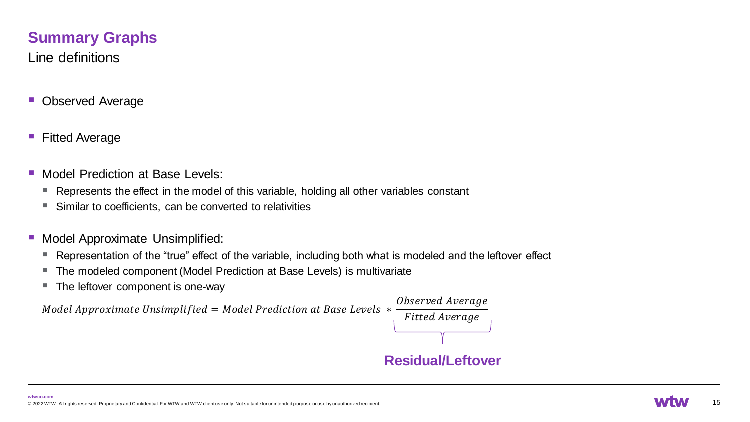## **Summary Graphs**

Line definitions

- Observed Average
- Fitted Average
- **Model Prediction at Base Levels:** 
	- Represents the effect in the model of this variable, holding all other variables constant
	- Similar to coefficients, can be converted to relativities
- Model Approximate Unsimplified:
	- Representation of the "true" effect of the variable, including both what is modeled and the leftover effect
	- The modeled component (Model Prediction at Base Levels) is multivariate
	- The leftover component is one-way

Model Approximate Unsimplified = Model Prediction at Base Levels  $*$ 

Observed Average **Fitted Average Residual/Leftover**